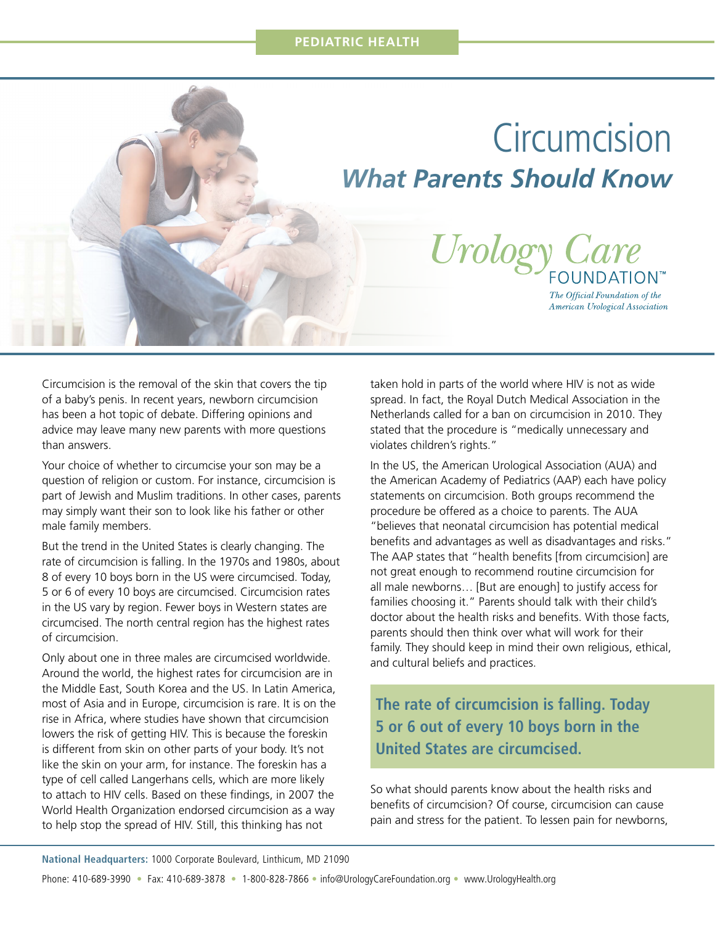# **Circumcision** *What Parents Should Know*



American Urological Association

Circumcision is the removal of the skin that covers the tip of a baby's penis. In recent years, newborn circumcision has been a hot topic of debate. Differing opinions and advice may leave many new parents with more questions than answers.

Your choice of whether to circumcise your son may be a question of religion or custom. For instance, circumcision is part of Jewish and Muslim traditions. In other cases, parents may simply want their son to look like his father or other male family members.

But the trend in the United States is clearly changing. The rate of circumcision is falling. In the 1970s and 1980s, about 8 of every 10 boys born in the US were circumcised. Today, 5 or 6 of every 10 boys are circumcised. Circumcision rates in the US vary by region. Fewer boys in Western states are circumcised. The north central region has the highest rates of circumcision.

Only about one in three males are circumcised worldwide. Around the world, the highest rates for circumcision are in the Middle East, South Korea and the US. In Latin America, most of Asia and in Europe, circumcision is rare. It is on the rise in Africa, where studies have shown that circumcision lowers the risk of getting HIV. This is because the foreskin is different from skin on other parts of your body. It's not like the skin on your arm, for instance. The foreskin has a type of cell called Langerhans cells, which are more likely to attach to HIV cells. Based on these findings, in 2007 the World Health Organization endorsed circumcision as a way to help stop the spread of HIV. Still, this thinking has not

taken hold in parts of the world where HIV is not as wide spread. In fact, the Royal Dutch Medical Association in the Netherlands called for a ban on circumcision in 2010. They stated that the procedure is "medically unnecessary and violates children's rights."

In the US, the American Urological Association (AUA) and the American Academy of Pediatrics (AAP) each have policy statements on circumcision. Both groups recommend the procedure be offered as a choice to parents. The AUA "believes that neonatal circumcision has potential medical benefits and advantages as well as disadvantages and risks." The AAP states that "health benefits [from circumcision] are not great enough to recommend routine circumcision for all male newborns… [But are enough] to justify access for families choosing it." Parents should talk with their child's doctor about the health risks and benefits. With those facts, parents should then think over what will work for their family. They should keep in mind their own religious, ethical, and cultural beliefs and practices.

### **The rate of circumcision is falling. Today 5 or 6 out of every 10 boys born in the United States are circumcised.**

So what should parents know about the health risks and benefits of circumcision? Of course, circumcision can cause pain and stress for the patient. To lessen pain for newborns,

**National Headquarters:** 1000 Corporate Boulevard, Linthicum, MD 21090